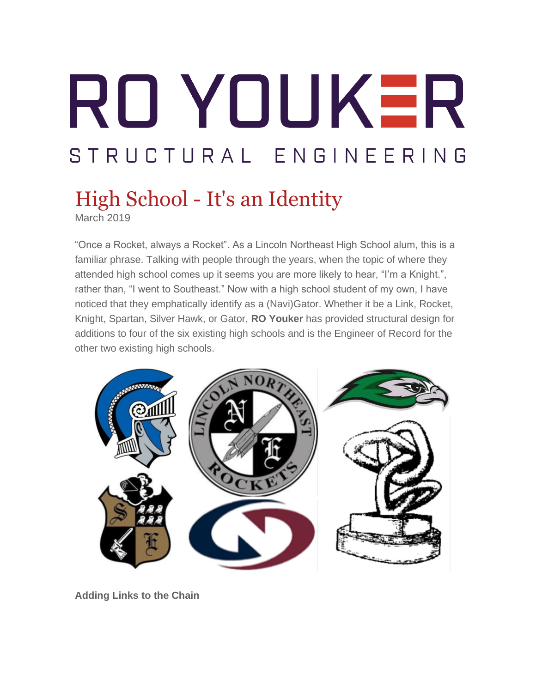# RO YOUKER STRUCTURAL ENGINEERING

## High School - It's an Identity

March 2019

"Once a Rocket, always a Rocket". As a Lincoln Northeast High School alum, this is a familiar phrase. Talking with people through the years, when the topic of where they attended high school comes up it seems you are more likely to hear, "I'm a Knight.", rather than, "I went to Southeast." Now with a high school student of my own, I have noticed that they emphatically identify as a (Navi)Gator. Whether it be a Link, Rocket, Knight, Spartan, Silver Hawk, or Gator, **RO Youker** has provided structural design for additions to four of the six existing high schools and is the Engineer of Record for the other two existing high schools.



**Adding Links to the Chain**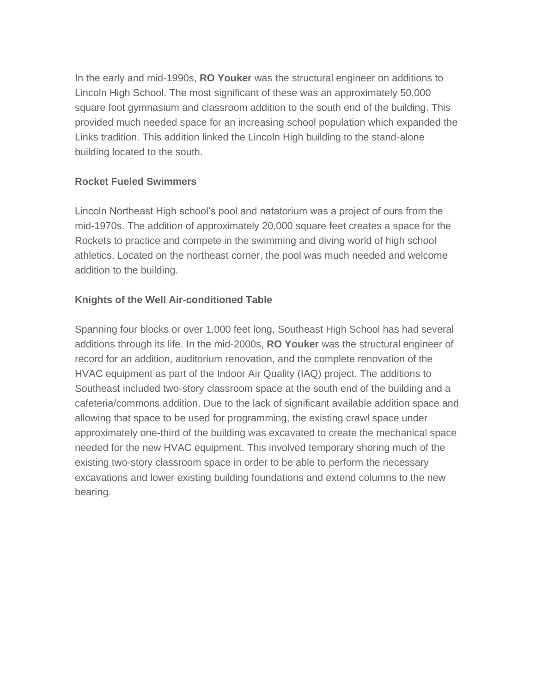In the early and mid-1990s, **RO Youker** was the structural engineer on additions to Lincoln High School. The most significant of these was an approximately 50,000 square foot gymnasium and classroom addition to the south end of the building. This provided much needed space for an increasing school population which expanded the Links tradition. This addition linked the Lincoln High building to the stand-alone building located to the south.

#### **Rocket Fueled Swimmers**

Lincoln Northeast High school's pool and natatorium was a project of ours from the mid-1970s. The addition of approximately 20,000 square feet creates a space for the Rockets to practice and compete in the swimming and diving world of high school athletics. Located on the northeast corner, the pool was much needed and welcome addition to the building.

#### **Knights of the Well Air-conditioned Table**

Spanning four blocks or over 1,000 feet long, Southeast High School has had several additions through its life. In the mid-2000s, **RO Youker** was the structural engineer of record for an addition, auditorium renovation, and the complete renovation of the HVAC equipment as part of the Indoor Air Quality (IAQ) project. The additions to Southeast included two-story classroom space at the south end of the building and a cafeteria/commons addition. Due to the lack of significant available addition space and allowing that space to be used for programming, the existing crawl space under approximately one-third of the building was excavated to create the mechanical space needed for the new HVAC equipment. This involved temporary shoring much of the existing two-story classroom space in order to be able to perform the necessary excavations and lower existing building foundations and extend columns to the new bearing.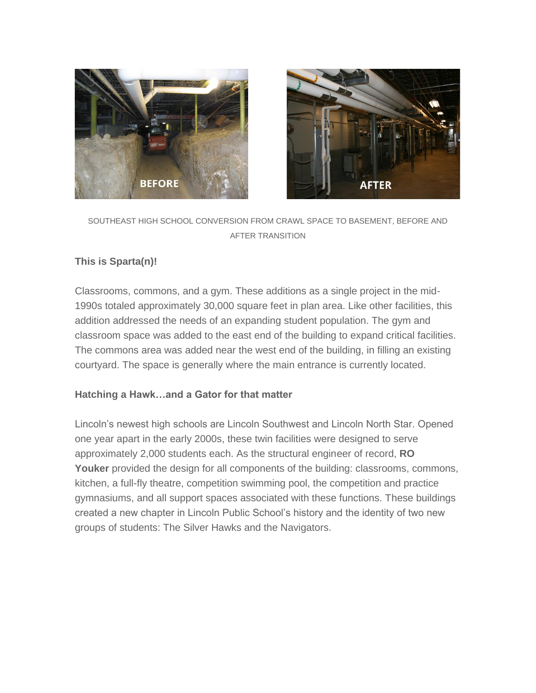



#### SOUTHEAST HIGH SCHOOL CONVERSION FROM CRAWL SPACE TO BASEMENT, BEFORE AND AFTER TRANSITION

#### **This is Sparta(n)!**

Classrooms, commons, and a gym. These additions as a single project in the mid-1990s totaled approximately 30,000 square feet in plan area. Like other facilities, this addition addressed the needs of an expanding student population. The gym and classroom space was added to the east end of the building to expand critical facilities. The commons area was added near the west end of the building, in filling an existing courtyard. The space is generally where the main entrance is currently located.

#### **Hatching a Hawk…and a Gator for that matter**

Lincoln's newest high schools are Lincoln Southwest and Lincoln North Star. Opened one year apart in the early 2000s, these twin facilities were designed to serve approximately 2,000 students each. As the structural engineer of record, **RO Youker** provided the design for all components of the building: classrooms, commons, kitchen, a full-fly theatre, competition swimming pool, the competition and practice gymnasiums, and all support spaces associated with these functions. These buildings created a new chapter in Lincoln Public School's history and the identity of two new groups of students: The Silver Hawks and the Navigators.